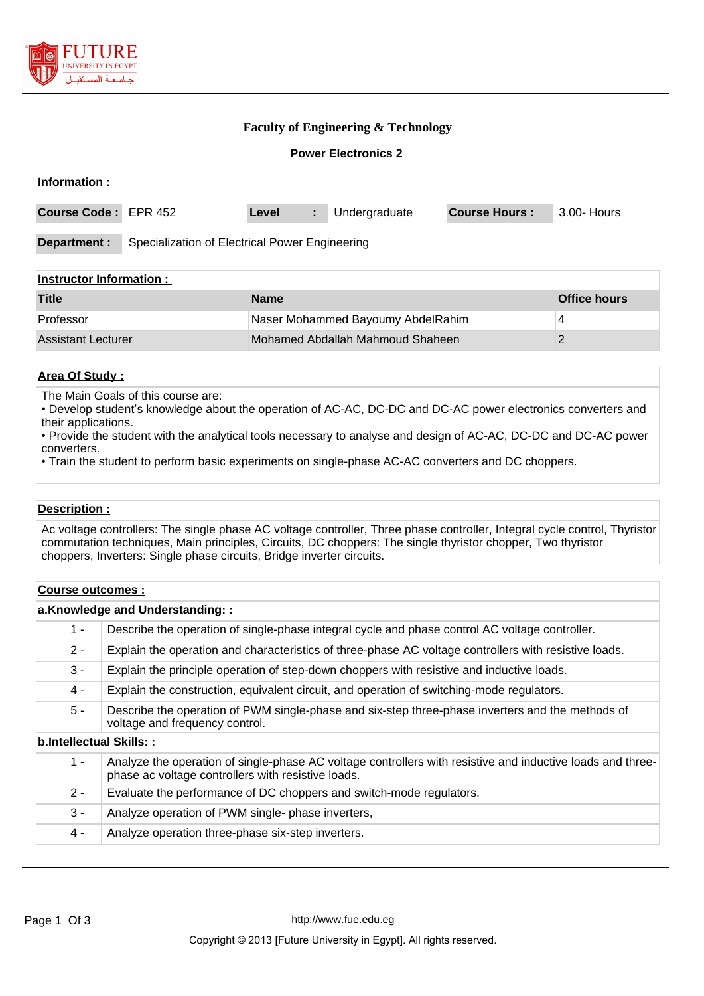

## **Faculty of Engineering & Technology**

### **Power Electronics 2**

| Information :                                                  |  |       |    |               |                      |             |
|----------------------------------------------------------------|--|-------|----|---------------|----------------------|-------------|
| Course Code: EPR 452                                           |  | Level | ÷. | Undergraduate | <b>Course Hours:</b> | 3.00- Hours |
| Specialization of Electrical Power Engineering<br>Department : |  |       |    |               |                      |             |
| <b>Instructor Information:</b>                                 |  |       |    |               |                      |             |

| <b>Title</b>       | <b>Name</b>                       | Office hours |
|--------------------|-----------------------------------|--------------|
| Professor          | Naser Mohammed Bayoumy AbdelRahim |              |
| Assistant Lecturer | Mohamed Abdallah Mahmoud Shaheen  |              |

## **Area Of Study :**

The Main Goals of this course are:

• Develop student's knowledge about the operation of AC-AC, DC-DC and DC-AC power electronics converters and their applications.

• Provide the student with the analytical tools necessary to analyse and design of AC-AC, DC-DC and DC-AC power converters.

• Train the student to perform basic experiments on single-phase AC-AC converters and DC choppers.

#### **Description :**

Ac voltage controllers: The single phase AC voltage controller, Three phase controller, Integral cycle control, Thyristor commutation techniques, Main principles, Circuits, DC choppers: The single thyristor chopper, Two thyristor choppers, Inverters: Single phase circuits, Bridge inverter circuits.

#### **Course outcomes :**

#### **a.Knowledge and Understanding: :**

| $1 -$                   | Describe the operation of single-phase integral cycle and phase control AC voltage controller.                                                                   |
|-------------------------|------------------------------------------------------------------------------------------------------------------------------------------------------------------|
| $2 -$                   | Explain the operation and characteristics of three-phase AC voltage controllers with resistive loads.                                                            |
| $3 -$                   | Explain the principle operation of step-down choppers with resistive and inductive loads.                                                                        |
| $4 -$                   | Explain the construction, equivalent circuit, and operation of switching-mode regulators.                                                                        |
| $5 -$                   | Describe the operation of PWM single-phase and six-step three-phase inverters and the methods of<br>voltage and frequency control.                               |
| b.Intellectual Skills:: |                                                                                                                                                                  |
| $1 -$                   | Analyze the operation of single-phase AC voltage controllers with resistive and inductive loads and three-<br>phase ac voltage controllers with resistive loads. |
| $2 -$                   | Evaluate the performance of DC choppers and switch-mode regulators.                                                                                              |
| $3 -$                   | Analyze operation of PWM single-phase inverters,                                                                                                                 |
| 4 -                     | Analyze operation three-phase six-step inverters.                                                                                                                |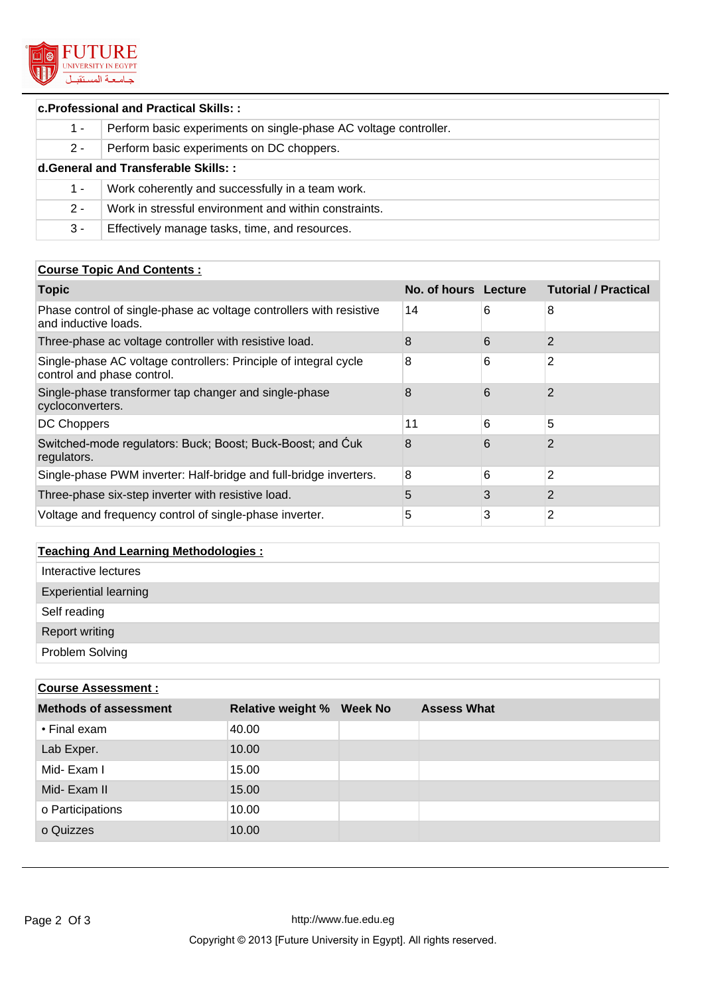

# **c.Professional and Practical Skills: :** 1 - Perform basic experiments on single-phase AC voltage controller. 2 - Perform basic experiments on DC choppers. **d.General and Transferable Skills: :** 1 - Work coherently and successfully in a team work. 2 - Work in stressful environment and within constraints. 3 - Effectively manage tasks, time, and resources.

## **Course Topic And Contents :**

| <b>Topic</b>                                                                                   | No. of hours Lecture |   | <b>Tutorial / Practical</b> |
|------------------------------------------------------------------------------------------------|----------------------|---|-----------------------------|
| Phase control of single-phase ac voltage controllers with resistive<br>and inductive loads.    | 14                   | 6 | 8                           |
| Three-phase ac voltage controller with resistive load.                                         | 8                    | 6 | 2                           |
| Single-phase AC voltage controllers: Principle of integral cycle<br>control and phase control. | 8                    | 6 | 2                           |
| Single-phase transformer tap changer and single-phase<br>cycloconverters.                      | 8                    | 6 | 2                           |
| <b>DC Choppers</b>                                                                             | 11                   | 6 | 5                           |
| Switched-mode regulators: Buck; Boost; Buck-Boost; and Cuk<br>regulators.                      | 8                    | 6 | 2                           |
| Single-phase PWM inverter: Half-bridge and full-bridge inverters.                              | 8                    | 6 | 2                           |
| Three-phase six-step inverter with resistive load.                                             | 5                    | 3 | $\overline{2}$              |
| Voltage and frequency control of single-phase inverter.                                        | 5                    | 3 | 2                           |

# **Teaching And Learning Methodologies :** Interactive lectures Experiential learning Self reading Report writing Problem Solving

| <b>Course Assessment:</b> |  |                                  |  |  |  |
|---------------------------|--|----------------------------------|--|--|--|
|                           |  | <b>Assess What</b>               |  |  |  |
| 40.00                     |  |                                  |  |  |  |
| 10.00                     |  |                                  |  |  |  |
| 15.00                     |  |                                  |  |  |  |
| 15.00                     |  |                                  |  |  |  |
| 10.00                     |  |                                  |  |  |  |
| 10.00                     |  |                                  |  |  |  |
|                           |  | <b>Relative weight % Week No</b> |  |  |  |